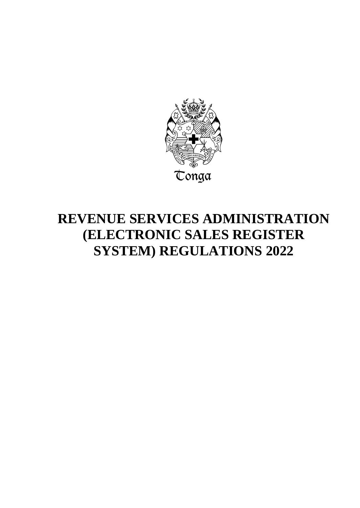

# **REVENUE SERVICES ADMINISTRATION (ELECTRONIC SALES REGISTER SYSTEM) REGULATIONS 2022**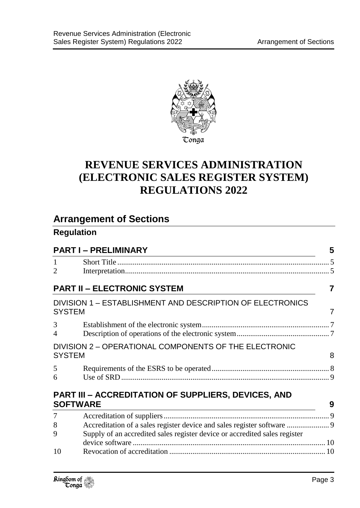

# **REVENUE SERVICES ADMINISTRATION (ELECTRONIC SALES REGISTER SYSTEM) REGULATIONS 2022**

| <b>Arrangement of Sections</b> |  |
|--------------------------------|--|
|                                |  |

# **Regulation**

| <b>PART I-PRELIMINARY</b>        |                                                                               | 5 |  |
|----------------------------------|-------------------------------------------------------------------------------|---|--|
| $\mathbf{1}$<br>2                |                                                                               |   |  |
|                                  | <b>PART II - ELECTRONIC SYSTEM</b>                                            |   |  |
| <b>SYSTEM</b>                    | DIVISION 1 - ESTABLISHMENT AND DESCRIPTION OF ELECTRONICS                     |   |  |
| 3 <sup>7</sup><br>$\overline{4}$ |                                                                               |   |  |
| <b>SYSTEM</b>                    | DIVISION 2 - OPERATIONAL COMPONENTS OF THE ELECTRONIC                         | 8 |  |
| 5<br>6                           |                                                                               |   |  |
|                                  | <b>PART III - ACCREDITATION OF SUPPLIERS, DEVICES, AND</b><br><b>SOFTWARE</b> | 9 |  |
| 7 <sup>7</sup>                   |                                                                               | 9 |  |

| 8  |                                                                            |
|----|----------------------------------------------------------------------------|
| 9. | Supply of an accredited sales register device or accredited sales register |
|    |                                                                            |
| 10 |                                                                            |
|    |                                                                            |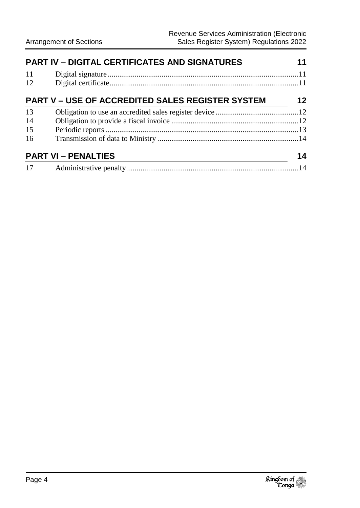| <b>PART IV - DIGITAL CERTIFICATES AND SIGNATURES</b> |                                                         | 11 |
|------------------------------------------------------|---------------------------------------------------------|----|
| 11                                                   |                                                         |    |
| 12                                                   |                                                         |    |
|                                                      | <b>PART V – USE OF ACCREDITED SALES REGISTER SYSTEM</b> | 12 |
| 13                                                   |                                                         |    |
| 14                                                   |                                                         |    |
| 15                                                   |                                                         |    |
| 16                                                   |                                                         |    |
|                                                      | <b>PART VI - PENALTIES</b>                              | 14 |
| 17                                                   |                                                         |    |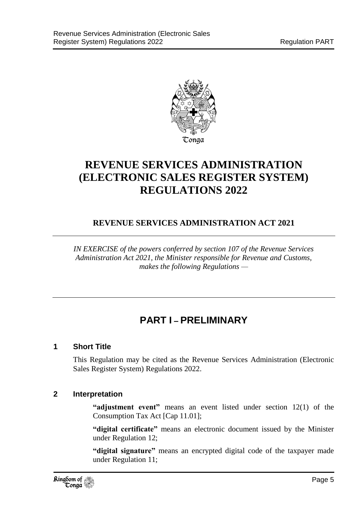

# **REVENUE SERVICES ADMINISTRATION (ELECTRONIC SALES REGISTER SYSTEM) REGULATIONS 2022**

# **REVENUE SERVICES ADMINISTRATION ACT 2021**

*IN EXERCISE of the powers conferred by section 107 of the Revenue Services Administration Act 2021, the Minister responsible for Revenue and Customs, makes the following Regulations —*

# **PART I – PRELIMINARY**

### <span id="page-4-1"></span><span id="page-4-0"></span>**1 Short Title**

This Regulation may be cited as the Revenue Services Administration (Electronic Sales Register System) Regulations 2022.

#### <span id="page-4-2"></span>**2 Interpretation**

**"adjustment event"** means an event listed under section 12(1) of the Consumption Tax Act [Cap 11.01];

**"digital certificate"** means an electronic document issued by the Minister under Regulation 12;

**"digital signature"** means an encrypted digital code of the taxpayer made under Regulation 11;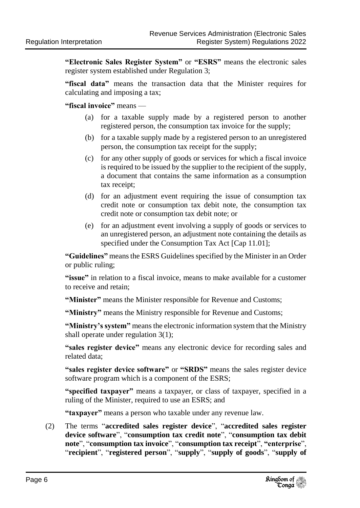**"Electronic Sales Register System"** or **"ESRS"** means the electronic sales register system established under Regulation 3;

**"fiscal data"** means the transaction data that the Minister requires for calculating and imposing a tax;

**"fiscal invoice"** means —

- (a) for a taxable supply made by a registered person to another registered person, the consumption tax invoice for the supply;
- (b) for a taxable supply made by a registered person to an unregistered person, the consumption tax receipt for the supply;
- (c) for any other supply of goods or services for which a fiscal invoice is required to be issued by the supplier to the recipient of the supply, a document that contains the same information as a consumption tax receipt;
- (d) for an adjustment event requiring the issue of consumption tax credit note or consumption tax debit note, the consumption tax credit note or consumption tax debit note; or
- (e) for an adjustment event involving a supply of goods or services to an unregistered person, an adjustment note containing the details as specified under the Consumption Tax Act [Cap 11.01];

**"Guidelines"** means the ESRS Guidelines specified by the Minister in an Order or public ruling;

**"issue"** in relation to a fiscal invoice, means to make available for a customer to receive and retain;

**"Minister"** means the Minister responsible for Revenue and Customs;

**"Ministry"** means the Ministry responsible for Revenue and Customs;

**"Ministry's system"** means the electronic information system that the Ministry shall operate under regulation 3(1);

**"sales register device"** means any electronic device for recording sales and related data;

**"sales register device software"** or **"SRDS"** means the sales register device software program which is a component of the ESRS;

**"specified taxpayer"** means a taxpayer, or class of taxpayer, specified in a ruling of the Minister, required to use an ESRS; and

**"taxpayer"** means a person who taxable under any revenue law.

(2) The terms "**accredited sales register device**", "**accredited sales register device software**", "**consumption tax credit note**", "**consumption tax debit note**", "**consumption tax invoice**", "**consumption tax receipt**", **"enterprise**", "**recipient**", "**registered person**", "**supply**", "**supply of goods**", "**supply of**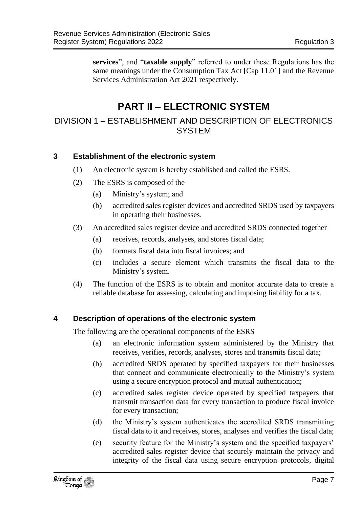**services**", and "**taxable supply**" referred to under these Regulations has the same meanings under the Consumption Tax Act [Cap 11.01] and the Revenue Services Administration Act 2021 respectively.

# **PART II – ELECTRONIC SYSTEM**

# <span id="page-6-1"></span><span id="page-6-0"></span>DIVISION 1 – ESTABLISHMENT AND DESCRIPTION OF ELECTRONICS **SYSTEM**

# <span id="page-6-2"></span>**3 Establishment of the electronic system**

- (1) An electronic system is hereby established and called the ESRS.
- (2) The ESRS is composed of the
	- (a) Ministry's system; and
	- (b) accredited sales register devices and accredited SRDS used by taxpayers in operating their businesses.
- (3) An accredited sales register device and accredited SRDS connected together
	- (a) receives, records, analyses, and stores fiscal data;
	- (b) formats fiscal data into fiscal invoices; and
	- (c) includes a secure element which transmits the fiscal data to the Ministry's system.
- (4) The function of the ESRS is to obtain and monitor accurate data to create a reliable database for assessing, calculating and imposing liability for a tax.

# <span id="page-6-3"></span>**4 Description of operations of the electronic system**

The following are the operational components of the ESRS –

- (a) an electronic information system administered by the Ministry that receives, verifies, records, analyses, stores and transmits fiscal data;
- (b) accredited SRDS operated by specified taxpayers for their businesses that connect and communicate electronically to the Ministry's system using a secure encryption protocol and mutual authentication;
- (c) accredited sales register device operated by specified taxpayers that transmit transaction data for every transaction to produce fiscal invoice for every transaction;
- (d) the Ministry's system authenticates the accredited SRDS transmitting fiscal data to it and receives, stores, analyses and verifies the fiscal data;
- (e) security feature for the Ministry's system and the specified taxpayers' accredited sales register device that securely maintain the privacy and integrity of the fiscal data using secure encryption protocols, digital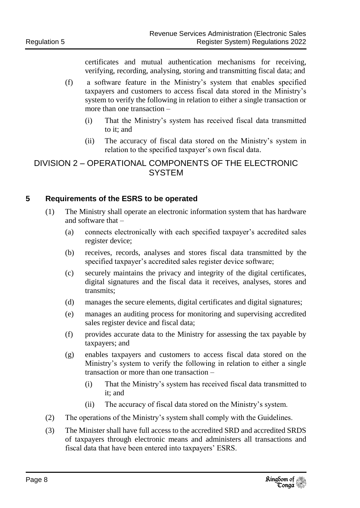certificates and mutual authentication mechanisms for receiving, verifying, recording, analysing, storing and transmitting fiscal data; and

- (f) a software feature in the Ministry's system that enables specified taxpayers and customers to access fiscal data stored in the Ministry's system to verify the following in relation to either a single transaction or more than one transaction –
	- (i) That the Ministry's system has received fiscal data transmitted to it; and
	- (ii) The accuracy of fiscal data stored on the Ministry's system in relation to the specified taxpayer's own fiscal data.

### <span id="page-7-0"></span>DIVISION 2 – OPERATIONAL COMPONENTS OF THE ELECTRONIC **SYSTEM**

# <span id="page-7-1"></span>**5 Requirements of the ESRS to be operated**

- (1) The Ministry shall operate an electronic information system that has hardware and software that –
	- (a) connects electronically with each specified taxpayer's accredited sales register device;
	- (b) receives, records, analyses and stores fiscal data transmitted by the specified taxpayer's accredited sales register device software;
	- (c) securely maintains the privacy and integrity of the digital certificates, digital signatures and the fiscal data it receives, analyses, stores and transmits;
	- (d) manages the secure elements, digital certificates and digital signatures;
	- (e) manages an auditing process for monitoring and supervising accredited sales register device and fiscal data;
	- (f) provides accurate data to the Ministry for assessing the tax payable by taxpayers; and
	- (g) enables taxpayers and customers to access fiscal data stored on the Ministry's system to verify the following in relation to either a single transaction or more than one transaction –
		- (i) That the Ministry's system has received fiscal data transmitted to it; and
		- (ii) The accuracy of fiscal data stored on the Ministry's system.
- (2) The operations of the Ministry's system shall comply with the Guidelines.
- (3) The Minister shall have full access to the accredited SRD and accredited SRDS of taxpayers through electronic means and administers all transactions and fiscal data that have been entered into taxpayers' ESRS.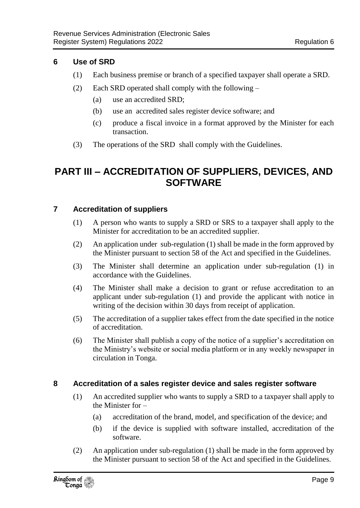# <span id="page-8-0"></span>**6 Use of SRD**

- (1) Each business premise or branch of a specified taxpayer shall operate a SRD.
- (2) Each SRD operated shall comply with the following
	- (a) use an accredited SRD;
	- (b) use an accredited sales register device software; and
	- (c) produce a fiscal invoice in a format approved by the Minister for each transaction.
- (3) The operations of the SRD shall comply with the Guidelines.

# <span id="page-8-1"></span>**PART III – ACCREDITATION OF SUPPLIERS, DEVICES, AND SOFTWARE**

# <span id="page-8-2"></span>**7 Accreditation of suppliers**

- (1) A person who wants to supply a SRD or SRS to a taxpayer shall apply to the Minister for accreditation to be an accredited supplier.
- (2) An application under sub-regulation (1) shall be made in the form approved by the Minister pursuant to section 58 of the Act and specified in the Guidelines.
- (3) The Minister shall determine an application under sub-regulation (1) in accordance with the Guidelines.
- (4) The Minister shall make a decision to grant or refuse accreditation to an applicant under sub-regulation (1) and provide the applicant with notice in writing of the decision within 30 days from receipt of application.
- (5) The accreditation of a supplier takes effect from the date specified in the notice of accreditation.
- (6) The Minister shall publish a copy of the notice of a supplier's accreditation on the Ministry's website or social media platform or in any weekly newspaper in circulation in Tonga.

### <span id="page-8-3"></span>**8 Accreditation of a sales register device and sales register software**

- (1) An accredited supplier who wants to supply a SRD to a taxpayer shall apply to the Minister for –
	- (a) accreditation of the brand, model, and specification of the device; and
	- (b) if the device is supplied with software installed, accreditation of the software.
- (2) An application under sub-regulation (1) shall be made in the form approved by the Minister pursuant to section 58 of the Act and specified in the Guidelines.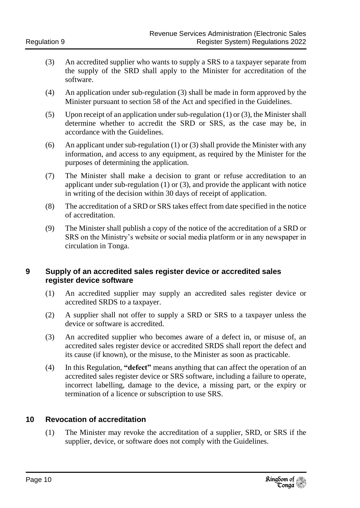- (3) An accredited supplier who wants to supply a SRS to a taxpayer separate from the supply of the SRD shall apply to the Minister for accreditation of the software.
- (4) An application under sub-regulation (3) shall be made in form approved by the Minister pursuant to section 58 of the Act and specified in the Guidelines.
- (5) Upon receipt of an application under sub-regulation (1) or (3), the Minister shall determine whether to accredit the SRD or SRS, as the case may be, in accordance with the Guidelines.
- (6) An applicant under sub-regulation (1) or (3) shall provide the Minister with any information, and access to any equipment, as required by the Minister for the purposes of determining the application.
- (7) The Minister shall make a decision to grant or refuse accreditation to an applicant under sub-regulation (1) or (3), and provide the applicant with notice in writing of the decision within 30 days of receipt of application.
- (8) The accreditation of a SRD or SRS takes effect from date specified in the notice of accreditation.
- (9) The Minister shall publish a copy of the notice of the accreditation of a SRD or SRS on the Ministry's website or social media platform or in any newspaper in circulation in Tonga.

#### <span id="page-9-0"></span>**9 Supply of an accredited sales register device or accredited sales register device software**

- (1) An accredited supplier may supply an accredited sales register device or accredited SRDS to a taxpayer.
- (2) A supplier shall not offer to supply a SRD or SRS to a taxpayer unless the device or software is accredited.
- (3) An accredited supplier who becomes aware of a defect in, or misuse of, an accredited sales register device or accredited SRDS shall report the defect and its cause (if known), or the misuse, to the Minister as soon as practicable.
- (4) In this Regulation, **"defect"** means anything that can affect the operation of an accredited sales register device or SRS software, including a failure to operate, incorrect labelling, damage to the device, a missing part, or the expiry or termination of a licence or subscription to use SRS.

### <span id="page-9-1"></span>**10 Revocation of accreditation**

(1) The Minister may revoke the accreditation of a supplier, SRD, or SRS if the supplier, device, or software does not comply with the Guidelines.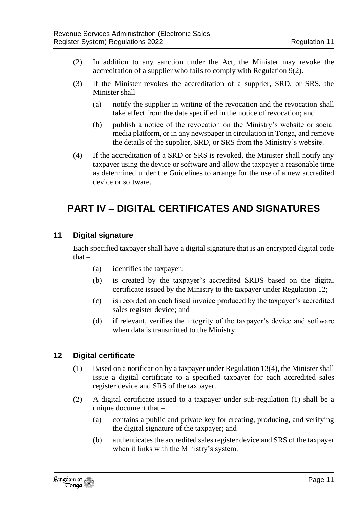- (2) In addition to any sanction under the Act, the Minister may revoke the accreditation of a supplier who fails to comply with Regulation 9(2).
- (3) If the Minister revokes the accreditation of a supplier, SRD, or SRS, the Minister shall –
	- (a) notify the supplier in writing of the revocation and the revocation shall take effect from the date specified in the notice of revocation; and
	- (b) publish a notice of the revocation on the Ministry's website or social media platform, or in any newspaper in circulation in Tonga, and remove the details of the supplier, SRD, or SRS from the Ministry's website.
- (4) If the accreditation of a SRD or SRS is revoked, the Minister shall notify any taxpayer using the device or software and allow the taxpayer a reasonable time as determined under the Guidelines to arrange for the use of a new accredited device or software.

# <span id="page-10-0"></span>**PART IV – DIGITAL CERTIFICATES AND SIGNATURES**

### <span id="page-10-1"></span>**11 Digital signature**

Each specified taxpayer shall have a digital signature that is an encrypted digital code that –

- (a) identifies the taxpayer;
- (b) is created by the taxpayer's accredited SRDS based on the digital certificate issued by the Ministry to the taxpayer under Regulation 12;
- (c) is recorded on each fiscal invoice produced by the taxpayer's accredited sales register device; and
- (d) if relevant, verifies the integrity of the taxpayer's device and software when data is transmitted to the Ministry.

#### <span id="page-10-2"></span>**12 Digital certificate**

- (1) Based on a notification by a taxpayer under Regulation 13(4), the Minister shall issue a digital certificate to a specified taxpayer for each accredited sales register device and SRS of the taxpayer.
- (2) A digital certificate issued to a taxpayer under sub-regulation (1) shall be a unique document that –
	- (a) contains a public and private key for creating, producing, and verifying the digital signature of the taxpayer; and
	- (b) authenticates the accredited sales register device and SRS of the taxpayer when it links with the Ministry's system.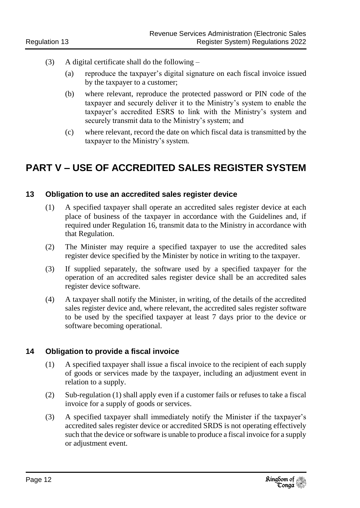- (3) A digital certificate shall do the following
	- (a) reproduce the taxpayer's digital signature on each fiscal invoice issued by the taxpayer to a customer;
	- (b) where relevant, reproduce the protected password or PIN code of the taxpayer and securely deliver it to the Ministry's system to enable the taxpayer's accredited ESRS to link with the Ministry's system and securely transmit data to the Ministry's system; and
	- (c) where relevant, record the date on which fiscal data is transmitted by the taxpayer to the Ministry's system.

# <span id="page-11-0"></span>**PART V – USE OF ACCREDITED SALES REGISTER SYSTEM**

#### <span id="page-11-1"></span>**13 Obligation to use an accredited sales register device**

- (1) A specified taxpayer shall operate an accredited sales register device at each place of business of the taxpayer in accordance with the Guidelines and, if required under Regulation 16, transmit data to the Ministry in accordance with that Regulation.
- (2) The Minister may require a specified taxpayer to use the accredited sales register device specified by the Minister by notice in writing to the taxpayer.
- (3) If supplied separately, the software used by a specified taxpayer for the operation of an accredited sales register device shall be an accredited sales register device software.
- (4) A taxpayer shall notify the Minister, in writing, of the details of the accredited sales register device and, where relevant, the accredited sales register software to be used by the specified taxpayer at least 7 days prior to the device or software becoming operational.

### <span id="page-11-2"></span>**14 Obligation to provide a fiscal invoice**

- (1) A specified taxpayer shall issue a fiscal invoice to the recipient of each supply of goods or services made by the taxpayer, including an adjustment event in relation to a supply.
- (2) Sub-regulation (1) shall apply even if a customer fails or refuses to take a fiscal invoice for a supply of goods or services.
- (3) A specified taxpayer shall immediately notify the Minister if the taxpayer's accredited sales register device or accredited SRDS is not operating effectively such that the device or software is unable to produce a fiscal invoice for a supply or adjustment event.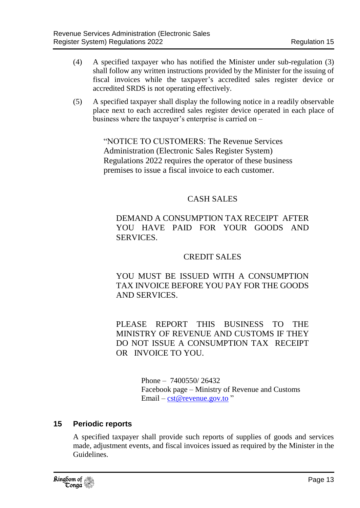- (4) A specified taxpayer who has notified the Minister under sub-regulation (3) shall follow any written instructions provided by the Minister for the issuing of fiscal invoices while the taxpayer's accredited sales register device or accredited SRDS is not operating effectively.
- (5) A specified taxpayer shall display the following notice in a readily observable place next to each accredited sales register device operated in each place of business where the taxpayer's enterprise is carried on –

"NOTICE TO CUSTOMERS: The Revenue Services Administration (Electronic Sales Register System) Regulations 2022 requires the operator of these business premises to issue a fiscal invoice to each customer.

#### CASH SALES

### DEMAND A CONSUMPTION TAX RECEIPT AFTER YOU HAVE PAID FOR YOUR GOODS AND SERVICES.

### CREDIT SALES

YOU MUST BE ISSUED WITH A CONSUMPTION TAX INVOICE BEFORE YOU PAY FOR THE GOODS AND SERVICES.

PLEASE REPORT THIS BUSINESS TO THE MINISTRY OF REVENUE AND CUSTOMS IF THEY DO NOT ISSUE A CONSUMPTION TAX RECEIPT OR INVOICE TO YOU.

> Phone – 7400550/ 26432 Facebook page – Ministry of Revenue and Customs Email –  $cst@revenue.gov.to$  "

#### <span id="page-12-0"></span>**15 Periodic reports**

A specified taxpayer shall provide such reports of supplies of goods and services made, adjustment events, and fiscal invoices issued as required by the Minister in the Guidelines.